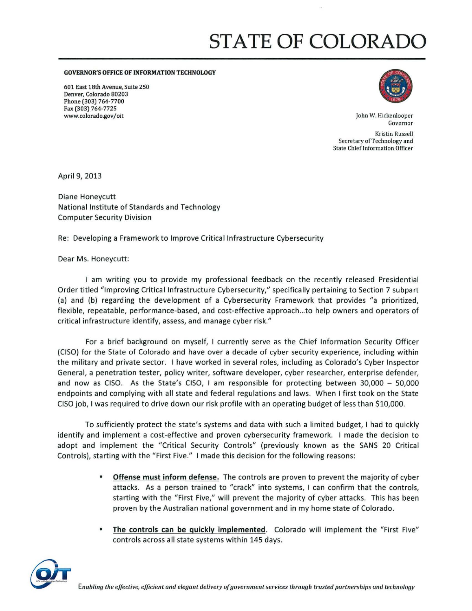## **STATE OF COLORADO**

GOVERNOR'S OFFICE OF INFORMATION TECHNOLOGY

601 East 18th Avenue, Suite 250 Denver, Colorado 80203 Phone (303) 764-7700 Fax (303) 764-7725 www.colorado.govI oit John W. Hickenlooper



Governor

Kristin Russell Secretary of Technology and State Chief Information Officer

April 9, 2013

Diane Honeycutt National Institute of Standards and Technology Computer Security Division

Re: Developing a Framework to Improve Critical Infrastructure Cybersecurity

Dear Ms. Honeycutt:

I am writing you to provide my professional feedback on the recently released Presidential Order titled "Improving Critical Infrastructure Cybersecurity," specifically pertaining to Section 7 subpart (a) and (b) regarding the development of a Cybersecurity Framework that provides "a prioritized, flexible, repeatable, performance-based, and cost-effective approach ...to help owners and operators of critical infrastructure identify, *assess,* and manage cyber risk."

For a brief background on myself, I currently serve as the Chief Information Security Officer {CISO) for the State of Colorado and have over a decade of cyber security experience, including within the military and private sector. I have worked in several roles, including as Colorado's Cyber Inspector General, a penetration tester, policy writer, software developer, cyber researcher, enterprise defender, and now as CISO. As the State's CISO, I am responsible for protecting between *30,000* - *50,000*  endpoints and complying with all state and federal regulations and laws. When I first took on the State CISO job, I was required to drive down our risk profile with an operating budget of less than \$10,000.

To sufficiently protect the state's systems and data with such a limited budget, I had to quickly identify and implement a cost-effective and proven cybersecurity framework. I made the decision to adopt and implement the "Critical Security Controls" (previously known as the SANS 20 Critical Controls). starting with the "First Five." I made this decision for the following reasons:

- **Offense must inform defense.** The controls are proven to prevent the majority of cyber attacks. As a person trained to "crack" into systems, I can confirm that the controls, starting with the "First Five," will prevent the majority of cyber attacks. This has been proven by the Australian national government and in my home state of Colorado.
- The controls can be quickly implemented. Colorado will implement the "First Five" controls across all state systems within 145 days.